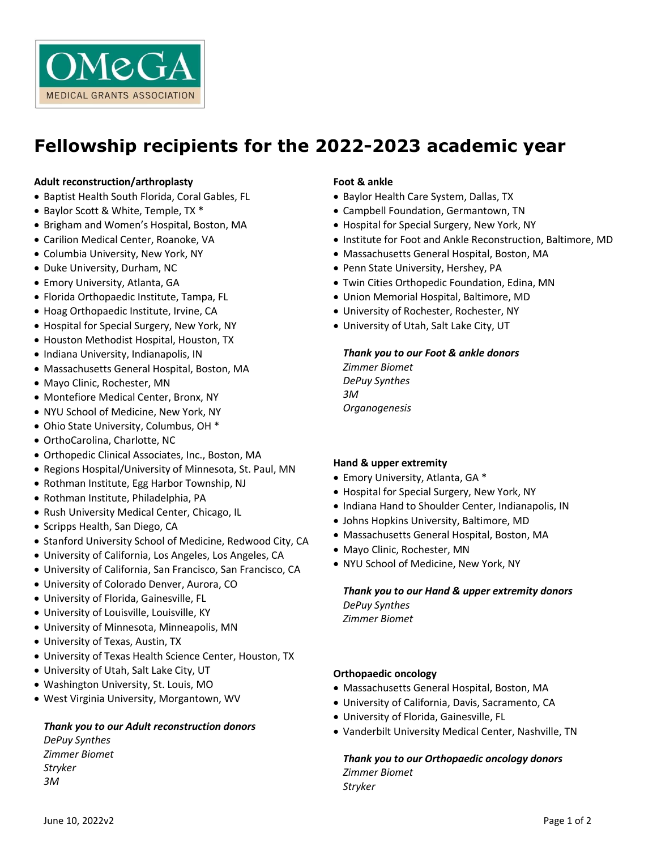

# **Fellowship recipients for the 2022-2023 academic year**

#### **Adult reconstruction/arthroplasty**

- Baptist Health South Florida, Coral Gables, FL
- Baylor Scott & White, Temple, TX \*
- Brigham and Women's Hospital, Boston, MA
- Carilion Medical Center, Roanoke, VA
- Columbia University, New York, NY
- Duke University, Durham, NC
- Emory University, Atlanta, GA
- Florida Orthopaedic Institute, Tampa, FL
- Hoag Orthopaedic Institute, Irvine, CA
- Hospital for Special Surgery, New York, NY
- Houston Methodist Hospital, Houston, TX
- Indiana University, Indianapolis, IN
- Massachusetts General Hospital, Boston, MA
- Mayo Clinic, Rochester, MN
- Montefiore Medical Center, Bronx, NY
- NYU School of Medicine, New York, NY
- Ohio State University, Columbus, OH \*
- OrthoCarolina, Charlotte, NC
- Orthopedic Clinical Associates, Inc., Boston, MA
- Regions Hospital/University of Minnesota, St. Paul, MN
- Rothman Institute, Egg Harbor Township, NJ
- Rothman Institute, Philadelphia, PA
- Rush University Medical Center, Chicago, IL
- Scripps Health, San Diego, CA
- Stanford University School of Medicine, Redwood City, CA
- University of California, Los Angeles, Los Angeles, CA
- University of California, San Francisco, San Francisco, CA
- University of Colorado Denver, Aurora, CO
- University of Florida, Gainesville, FL
- University of Louisville, Louisville, KY
- University of Minnesota, Minneapolis, MN
- University of Texas, Austin, TX
- University of Texas Health Science Center, Houston, TX
- University of Utah, Salt Lake City, UT
- Washington University, St. Louis, MO
- West Virginia University, Morgantown, WV

# *Thank you to our Adult reconstruction donors*

*DePuy Synthes Zimmer Biomet Stryker 3M*

#### **Foot & ankle**

- Baylor Health Care System, Dallas, TX
- Campbell Foundation, Germantown, TN
- Hospital for Special Surgery, New York, NY
- Institute for Foot and Ankle Reconstruction, Baltimore, MD
- Massachusetts General Hospital, Boston, MA
- Penn State University, Hershey, PA
- Twin Cities Orthopedic Foundation, Edina, MN
- Union Memorial Hospital, Baltimore, MD
- University of Rochester, Rochester, NY
- University of Utah, Salt Lake City, UT

# *Thank you to our Foot & ankle donors*

*Zimmer Biomet DePuy Synthes 3M Organogenesis*

#### **Hand & upper extremity**

- Emory University, Atlanta, GA \*
- Hospital for Special Surgery, New York, NY
- Indiana Hand to Shoulder Center, Indianapolis, IN
- Johns Hopkins University, Baltimore, MD
- Massachusetts General Hospital, Boston, MA
- Mayo Clinic, Rochester, MN
- NYU School of Medicine, New York, NY

*Thank you to our Hand & upper extremity donors DePuy Synthes Zimmer Biomet*

#### **Orthopaedic oncology**

- Massachusetts General Hospital, Boston, MA
- University of California, Davis, Sacramento, CA
- University of Florida, Gainesville, FL
- Vanderbilt University Medical Center, Nashville, TN

*Thank you to our Orthopaedic oncology donors Zimmer Biomet*

*Stryker*